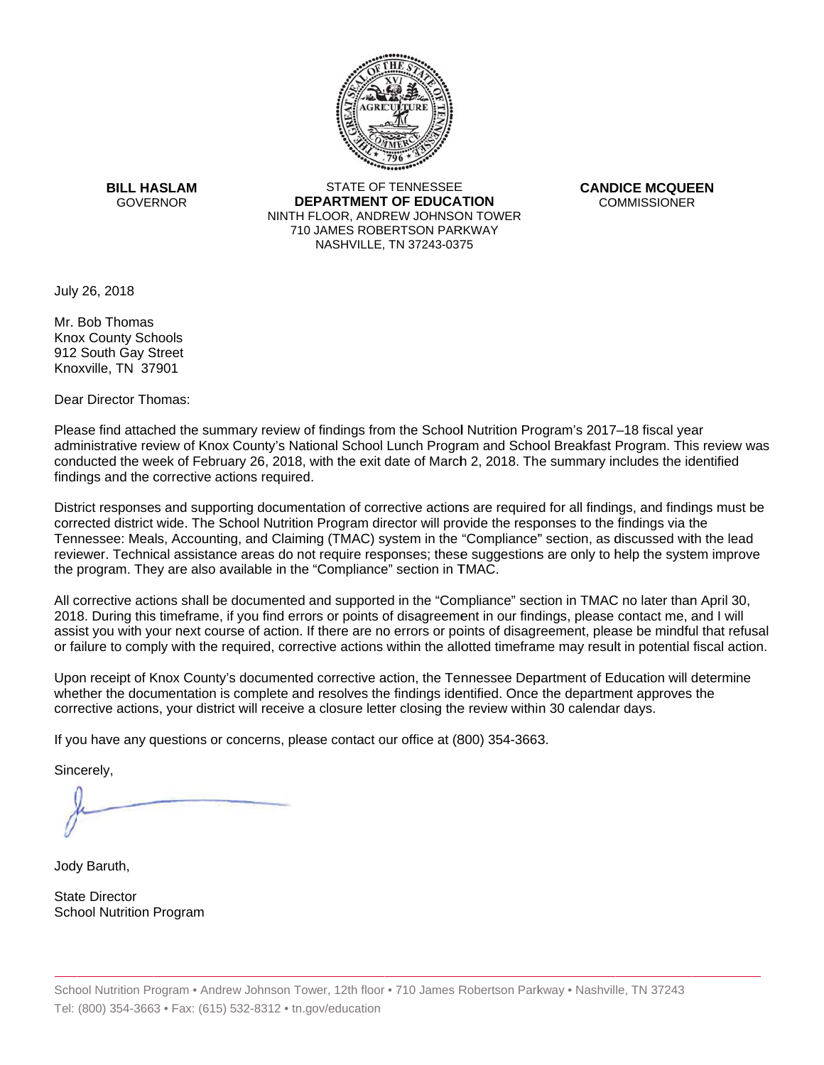

**BILL HASLAM** STATE OF TENNESSEE **CANDICE MCQUEEN**  GOVERNOR **DEPARTMENT OF EDUCATION** COMMISSIONER NINTH FLOOR, ANDREW JOHNSON TOWER 710 JAMES ROBERTSON PARKWAY NASHVILLE,TN 37243-0375

July 26, 2018

Mr. Bob Thomas Knox County Schools 912 South Gay Street Knoxville, TN 37901

Dear Director Thomas:

Please find attached the summary review of findings from the School Nutrition Program's 2017–18 fiscal year administrative review of Knox County's National School Lunch Program and School Breakfast Program. This review was conducted the week of February 26, 2018, with the exit date of March 2, 2018. The summary includes the identified findings and the corrective actions required.

Tennessee: Meals, Accounting, and Claiming (TMAC) system in the "Compliance" section, as discussed with the lead District responses and supporting documentation of corrective actions are required for all findings, and findings must be corrected district wide. The School Nutrition Program director will provide the responses to the findings via the reviewer. Technical assistance areas do not require responses; these suggestions are only to help the system improve the program. They are also available in the "Compliance" section in TMAC.

All corrective actions shall be documented and supported in the "Compliance" section in TMAC no later than April 30, 2018. During this timeframe, if you find errors or points of disagreement in our findings, please contact me, and I will assist you with your next course of action. If there are no errors or points of disagreement, please be mindful that refusal or failure to comply with the required, corrective actions within the allotted timeframe may result in potential fiscal action.

Upon receipt of Knox County's documented corrective action, the Tennessee Department of Education will determine whether the documentation is complete and resolves the findings identified. Once the department approves the corrective actions, your district will receive a closure letter closing the review within 30 calendar days.

If you have any questions or concerns, please contact our office at (800) 354-3663.

Sincerely,

Jody Baruth,

State Director School Nutrition Program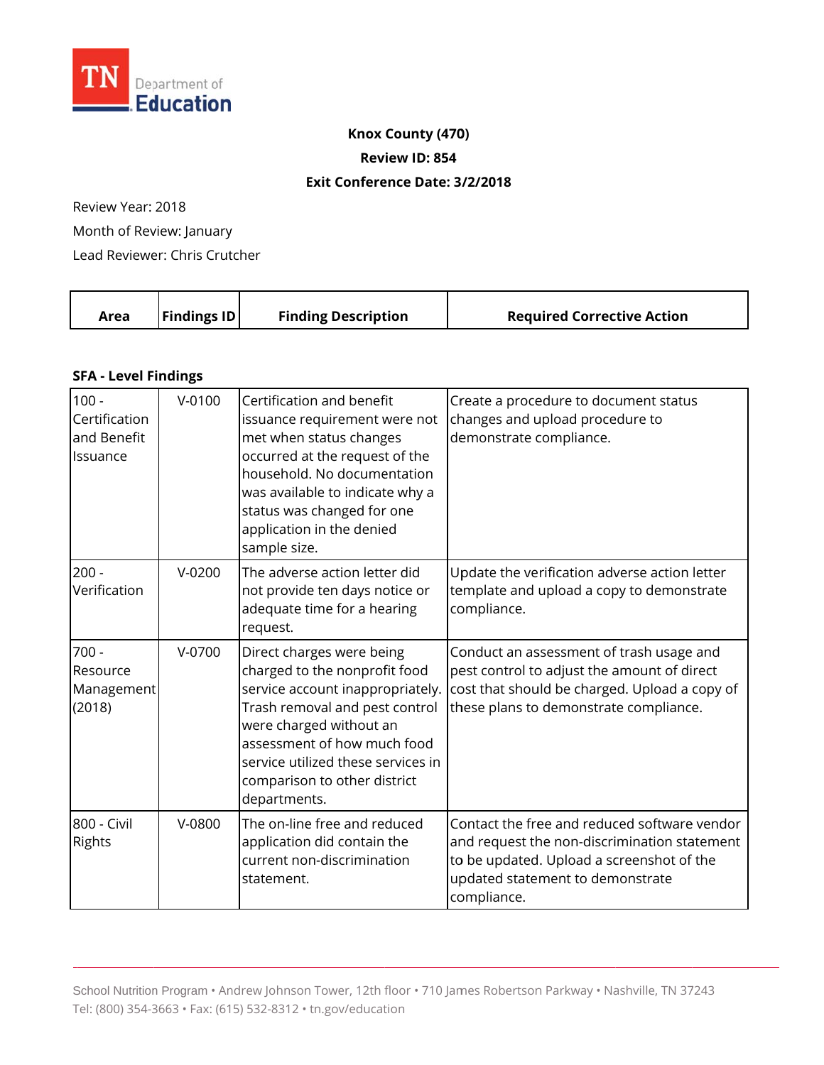

## **Knox County (470)**

**Review ID: 854**

### **Exit Conference Date: 3 /2/2018**

Review Year: 2018

Month of Review: January

Lead Reviewer: Chris Crutcher

|  | Area | <b>Findings ID</b> | <b>Finding Description</b> | <b>Required Corrective Action</b> |
|--|------|--------------------|----------------------------|-----------------------------------|
|--|------|--------------------|----------------------------|-----------------------------------|

## **SFA - Level Findings**

| $100 -$<br>Certification<br>and Benefit<br>Issuance | $V - 0100$ | Certification and benefit<br>issuance requirement were not<br>met when status changes<br>occurred at the request of the<br>household. No documentation<br>was available to indicate why a<br>status was changed for one<br>application in the denied<br>sample size.             | Create a procedure to document status<br>changes and upload procedure to<br>demonstrate compliance.                                                                                          |
|-----------------------------------------------------|------------|----------------------------------------------------------------------------------------------------------------------------------------------------------------------------------------------------------------------------------------------------------------------------------|----------------------------------------------------------------------------------------------------------------------------------------------------------------------------------------------|
| $200 -$<br>Verification                             | $V-0200$   | The adverse action letter did<br>not provide ten days notice or<br>adequate time for a hearing<br>request.                                                                                                                                                                       | Update the verification adverse action letter<br>template and upload a copy to demonstrate<br>compliance.                                                                                    |
| $700 -$<br>Resource<br>Management<br>(2018)         | $V-0700$   | Direct charges were being<br>charged to the nonprofit food<br>service account inappropriately.<br>Trash removal and pest control<br>were charged without an<br>assessment of how much food<br>service utilized these services in<br>comparison to other district<br>departments. | Conduct an assessment of trash usage and<br>pest control to adjust the amount of direct<br>cost that should be charged. Upload a copy of<br>these plans to demonstrate compliance.           |
| 800 - Civil<br><b>Rights</b>                        | V-0800     | The on-line free and reduced<br>application did contain the<br>current non-discrimination<br>statement.                                                                                                                                                                          | Contact the free and reduced software vendor<br>and request the non-discrimination statement<br>to be updated. Upload a screenshot of the<br>updated statement to demonstrate<br>compliance. |